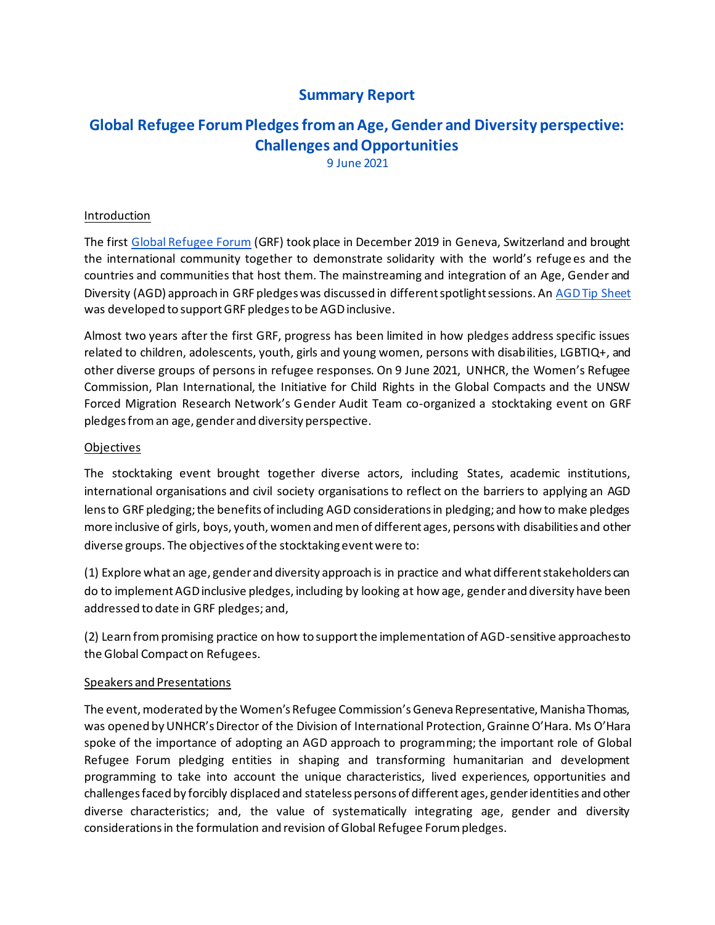## **Summary Report**

# **Global Refugee Forum Pledges from an Age, Gender and Diversity perspective: Challenges and Opportunities**

9 June 2021

### Introduction

The first Global Refugee Forum (GRF) took place in December 2019 in Geneva, Switzerland and brought the international community together to demonstrate solidarity with the world's refuge es and the countries and communities that host them. The mainstreaming and integration of an Age, Gender and Diversity (AGD) approach in GRF pledges was discussed in different spotlight sessions. An AGD Tip Sheet was developed to support GRF pledges to be AGD inclusive.

Almost two years after the first GRF, progress has been limited in how pledges address specific issues related to children, adolescents, youth, girls and young women, persons with disabilities, LGBTIQ+, and other diverse groups of persons in refugee responses. On 9 June 2021, UNHCR, the Women's Refugee Commission, Plan International, the Initiative for Child Rights in the Global Compacts and the UNSW Forced Migration Research Network's Gender Audit Team co-organized a stocktaking event on GRF pledges from an age, gender and diversity perspective.

### Objectives

The stocktaking event brought together diverse actors, including States, academic institutions, international organisations and civil society organisations to reflect on the barriers to applying an AGD lens to GRF pledging; the benefits of including AGD considerations in pledging; and how to make pledges more inclusive of girls, boys, youth, women and men of different ages, persons with disabilities and other diverse groups. The objectives of the stocktaking event were to:

(1) Explore what an age, gender and diversity approach is in practice and what different stakeholders can do to implement AGD inclusive pledges, including by looking at how age, gender and diversity have been addressed to date in GRF pledges; and,

(2) Learn from promising practice on how to support the implementation of AGD-sensitive approaches to the Global Compact on Refugees.

### Speakers and Presentations

The event, moderated by the Women's Refugee Commission's Geneva Representative, Manisha Thomas, was opened by UNHCR's Director of the Division of International Protection, Grainne O'Hara. Ms O'Hara spoke of the importance of adopting an AGD approach to programming; the important role of Global Refugee Forum pledging entities in shaping and transforming humanitarian and development programming to take into account the unique characteristics, lived experiences, opportunities and challenges faced by forcibly displaced and stateless persons of different ages, gender identities and other diverse characteristics; and, the value of systematically integrating age, gender and diversity considerations in the formulation and revision of Global Refugee Forum pledges.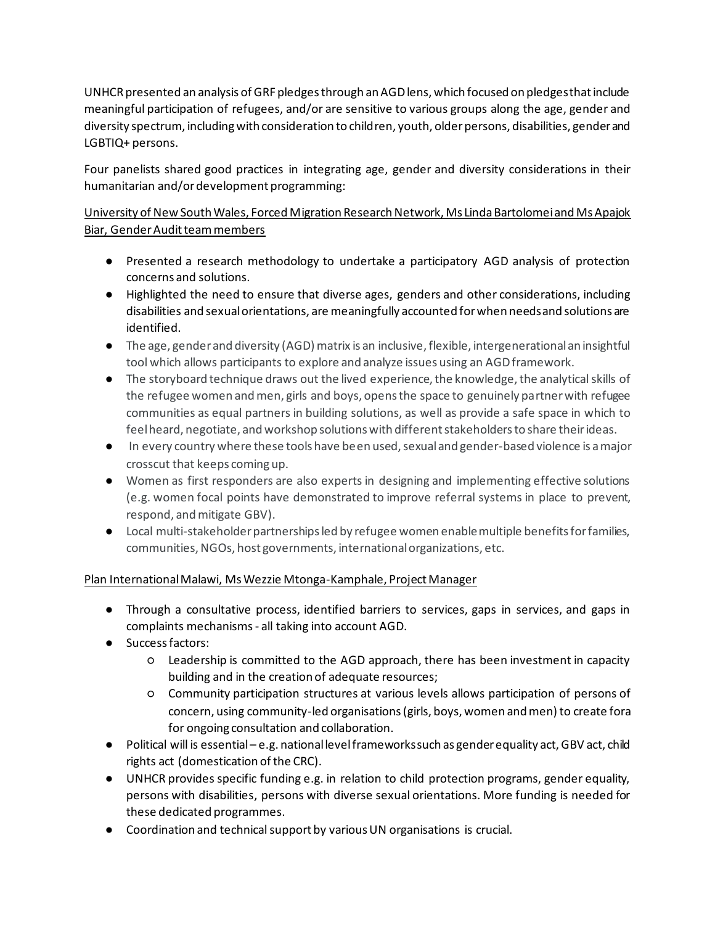UNHCR presented an analysis of GRF pledges through an AGD lens, which focused on pledges that include meaningful participation of refugees, and/or are sensitive to various groups along the age, gender and diversity spectrum, including with consideration to children, youth, older persons, disabilities, gender and LGBTIQ+ persons.

Four panelists shared good practices in integrating age, gender and diversity considerations in their humanitarian and/or development programming:

### University of New South Wales, Forced Migration Research Network, Ms Linda Bartolomei and Ms Apajok Biar, Gender Audit team members

- Presented a research methodology to undertake a participatory AGD analysis of protection concerns and solutions.
- Highlighted the need to ensure that diverse ages, genders and other considerations, including disabilities and sexual orientations, are meaningfully accounted for when needs and solutions are identified.
- The age, gender and diversity (AGD) matrix is an inclusive, flexible, intergenerational an insightful tool which allows participants to explore and analyze issues using an AGD framework.
- The storyboard technique draws out the lived experience, the knowledge, the analytical skills of the refugee women and men, girls and boys, opens the space to genuinely partner with refugee communities as equal partners in building solutions, as well as provide a safe space in which to feel heard, negotiate, and workshop solutions with different stakeholders to share their ideas.
- In every country where these tools have been used, sexual and gender-based violence is a major crosscut that keeps coming up.
- Women as first responders are also experts in designing and implementing effective solutions (e.g. women focal points have demonstrated to improve referral systems in place to prevent, respond, and mitigate GBV).
- Local multi-stakeholder partnerships led by refugee women enable multiple benefits for families, communities, NGOs, host governments, international organizations, etc.

### Plan International Malawi, Ms Wezzie Mtonga-Kamphale, Project Manager

- Through a consultative process, identified barriers to services, gaps in services, and gaps in complaints mechanisms - all taking into account AGD.
- Success factors:
	- Leadership is committed to the AGD approach, there has been investment in capacity building and in the creation of adequate resources;
	- Community participation structures at various levels allows participation of persons of concern, using community-led organisations (girls, boys, women and men) to create fora for ongoing consultation and collaboration.
- Political will is essential e.g. national level frameworks such as gender equality act, GBV act, child rights act (domestication of the CRC).
- UNHCR provides specific funding e.g. in relation to child protection programs, gender equality, persons with disabilities, persons with diverse sexual orientations. More funding is needed for these dedicated programmes.
- Coordination and technical support by various UN organisations is crucial.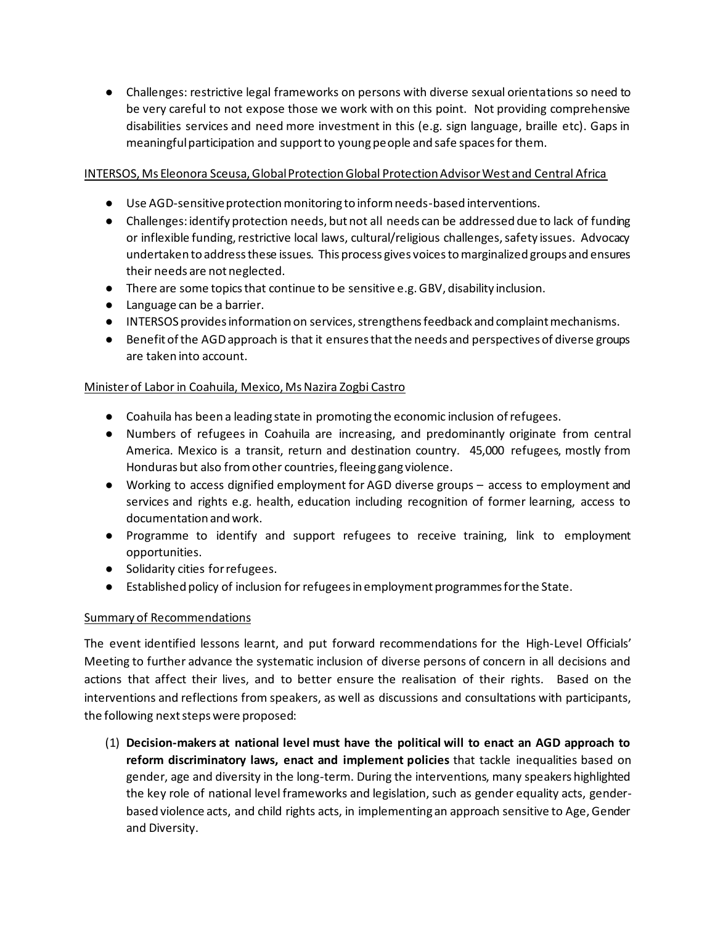● Challenges: restrictive legal frameworks on persons with diverse sexual orientations so need to be very careful to not expose those we work with on this point. Not providing comprehensive disabilities services and need more investment in this (e.g. sign language, braille etc). Gaps in meaningful participation and support to young people and safe spaces for them.

### INTERSOS, Ms Eleonora Sceusa, Global Protection Global Protection Advisor West and Central Africa

- Use AGD-sensitive protection monitoring to inform needs-based interventions.
- Challenges: identify protection needs, but not all needs can be addressed due to lack of funding or inflexible funding, restrictive local laws, cultural/religious challenges, safety issues. Advocacy undertaken to address these issues. This process gives voices to marginalized groups and ensures their needs are not neglected.
- There are some topics that continue to be sensitive e.g. GBV, disability inclusion.
- Language can be a barrier.
- INTERSOS provides information on services, strengthens feedback and complaint mechanisms.
- Benefit of the AGD approach is that it ensures that the needs and perspectives of diverse groups are taken into account.

### Minister of Labor in Coahuila, Mexico, Ms Nazira Zogbi Castro

- Coahuila has been a leading state in promoting the economic inclusion of refugees.
- Numbers of refugees in Coahuila are increasing, and predominantly originate from central America. Mexico is a transit, return and destination country. 45,000 refugees, mostly from Honduras but also from other countries, fleeing gang violence.
- Working to access dignified employment for AGD diverse groups access to employment and services and rights e.g. health, education including recognition of former learning, access to documentation and work.
- Programme to identify and support refugees to receive training, link to employment opportunities.
- Solidarity cities for refugees.
- Established policy of inclusion for refugees in employment programmes for the State.

### Summary of Recommendations

The event identified lessons learnt, and put forward recommendations for the High-Level Officials' Meeting to further advance the systematic inclusion of diverse persons of concern in all decisions and actions that affect their lives, and to better ensure the realisation of their rights. Based on the interventions and reflections from speakers, as well as discussions and consultations with participants, the following next steps were proposed:

(1) **Decision-makers at national level must have the political will to enact an AGD approach to reform discriminatory laws, enact and implement policies** that tackle inequalities based on gender, age and diversity in the long-term. During the interventions, many speakers highlighted the key role of national level frameworks and legislation, such as gender equality acts, genderbased violence acts, and child rights acts, in implementing an approach sensitive to Age, Gender and Diversity.